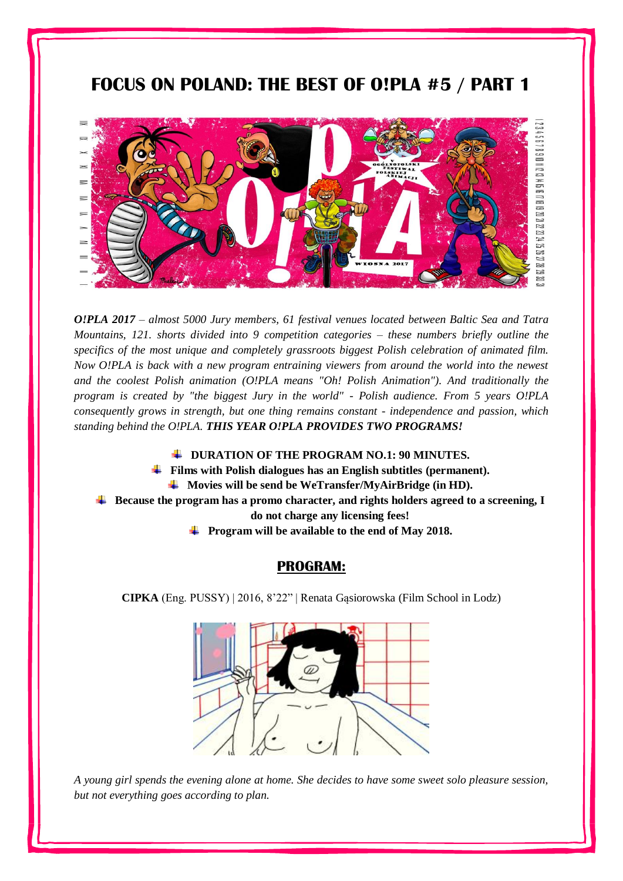## **FOCUS ON POLAND: THE BEST OF O!PLA #5 / PART 1**



*O!PLA 2017 – almost 5000 Jury members, 61 festival venues located between Baltic Sea and Tatra Mountains, 121. shorts divided into 9 competition categories – these numbers briefly outline the specifics of the most unique and completely grassroots biggest Polish celebration of animated film. Now O!PLA is back with a new program entraining viewers from around the world into the newest and the coolest Polish animation (O!PLA means "Oh! Polish Animation"). And traditionally the program is created by "the biggest Jury in the world" - Polish audience. From 5 years O!PLA consequently grows in strength, but one thing remains constant - independence and passion, which standing behind the O!PLA. THIS YEAR O!PLA PROVIDES TWO PROGRAMS!*

- **DURATION OF THE PROGRAM NO.1: 90 MINUTES.**
- **Films with Polish dialogues has an English subtitles (permanent).**
	- **Movies will be send be WeTransfer/MyAirBridge (in HD).**
- **Because the program has a promo character, and rights holders agreed to a screening, I**

**do not charge any licensing fees!**

**Program will be available to the end of May 2018.**

## **PROGRAM:**

**CIPKA** (Eng. PUSSY) | 2016, 8'22" | Renata Gąsiorowska (Film School in Lodz)



*A young girl spends the evening alone at home. She decides to have some sweet solo pleasure session, but not everything goes according to plan.*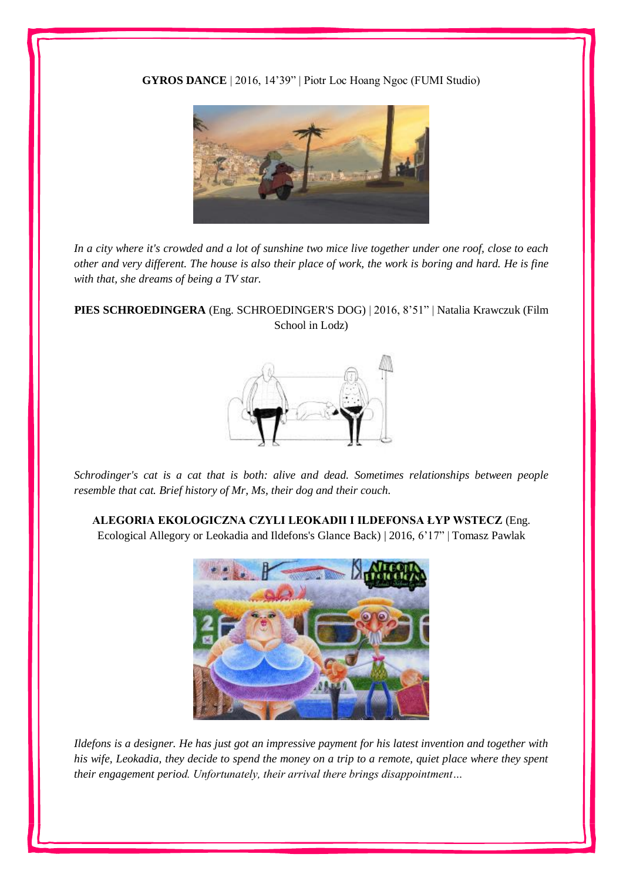**GYROS DANCE** | 2016, 14'39" | Piotr Loc Hoang Ngoc (FUMI Studio)



*In a city where it's crowded and a lot of sunshine two mice live together under one roof, close to each other and very different. The house is also their place of work, the work is boring and hard. He is fine with that, she dreams of being a TV star.*

**PIES SCHROEDINGERA** (Eng. SCHROEDINGER'S DOG) | 2016, 8'51" | Natalia Krawczuk (Film School in Lodz)



*Schrodinger's cat is a cat that is both: alive and dead. Sometimes relationships between people resemble that cat. Brief history of Mr, Ms, their dog and their couch.*

**ALEGORIA EKOLOGICZNA CZYLI LEOKADII I ILDEFONSA ŁYP WSTECZ** (Eng. Ecological Allegory or Leokadia and Ildefons's Glance Back) | 2016, 6'17" | Tomasz Pawlak



*Ildefons is a designer. He has just got an impressive payment for his latest invention and together with his wife, Leokadia, they decide to spend the money on a trip to a remote, quiet place where they spent their engagement period. Unfortunately, their arrival there brings disappointment…*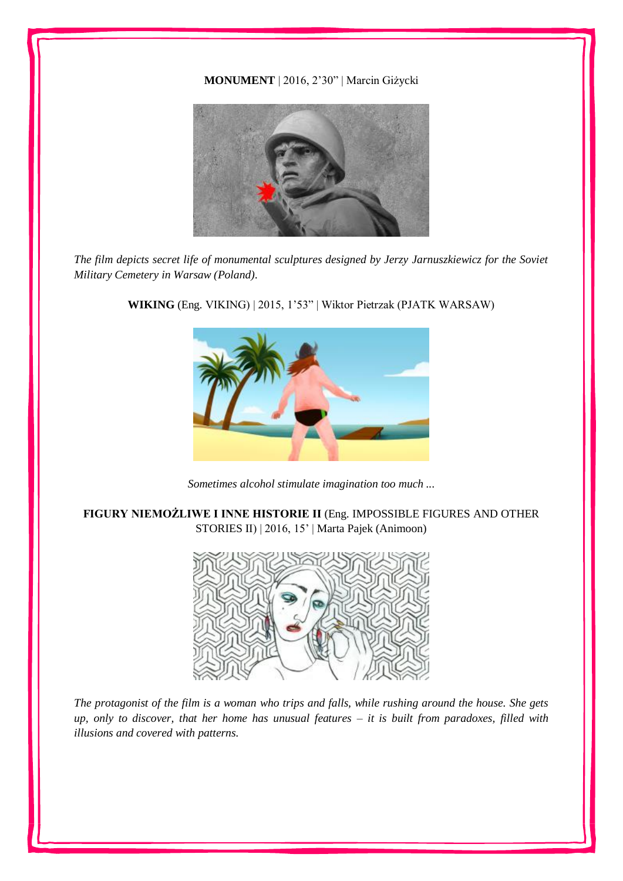## **MONUMENT** | 2016, 2'30" | Marcin Giżycki



*The film depicts secret life of monumental sculptures designed by Jerzy Jarnuszkiewicz for the Soviet Military Cemetery in Warsaw (Poland).* 



**WIKING** (Eng. VIKING) | 2015, 1'53" | Wiktor Pietrzak (PJATK WARSAW)

*Sometimes alcohol stimulate imagination too much ...*

**FIGURY NIEMOŻLIWE I INNE HISTORIE II** (Eng. IMPOSSIBLE FIGURES AND OTHER STORIES II) | 2016, 15' | Marta Pajek (Animoon)



*The protagonist of the film is a woman who trips and falls, while rushing around the house. She gets up, only to discover, that her home has unusual features – it is built from paradoxes, filled with illusions and covered with patterns.*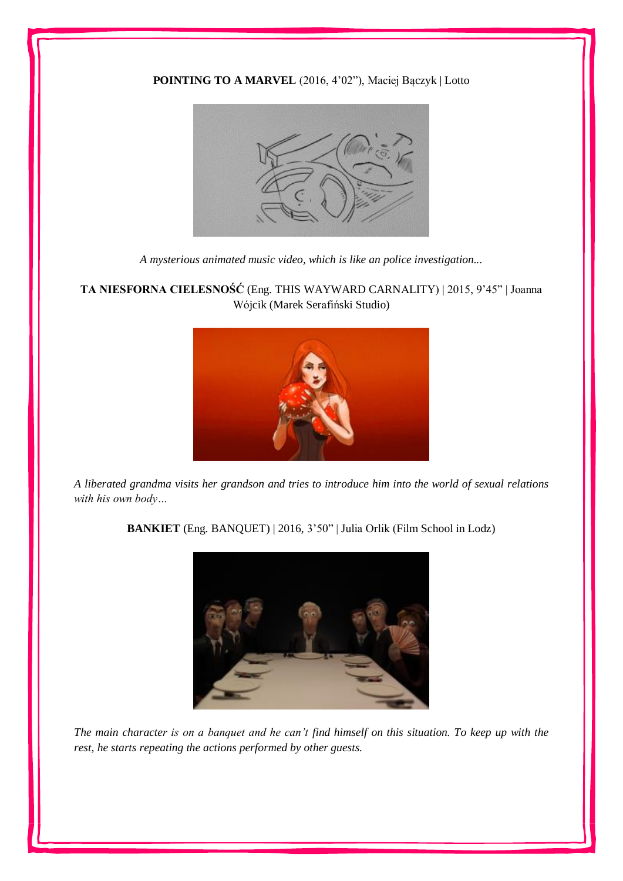## **POINTING TO A MARVEL** (2016, 4'02"), Maciej Bączyk | Lotto



*A mysterious animated music video, which is like an police investigation...*

**TA NIESFORNA CIELESNOŚĆ** (Eng. THIS WAYWARD CARNALITY) | 2015, 9'45" | Joanna Wójcik (Marek Serafiński Studio)



*A liberated grandma visits her grandson and tries to introduce him into the world of sexual relations with his own body…*

**BANKIET** (Eng. BANQUET) | 2016, 3'50" | Julia Orlik (Film School in Lodz)



*The main character is on a banquet and he can't find himself on this situation. To keep up with the rest, he starts repeating the actions performed by other guests.*